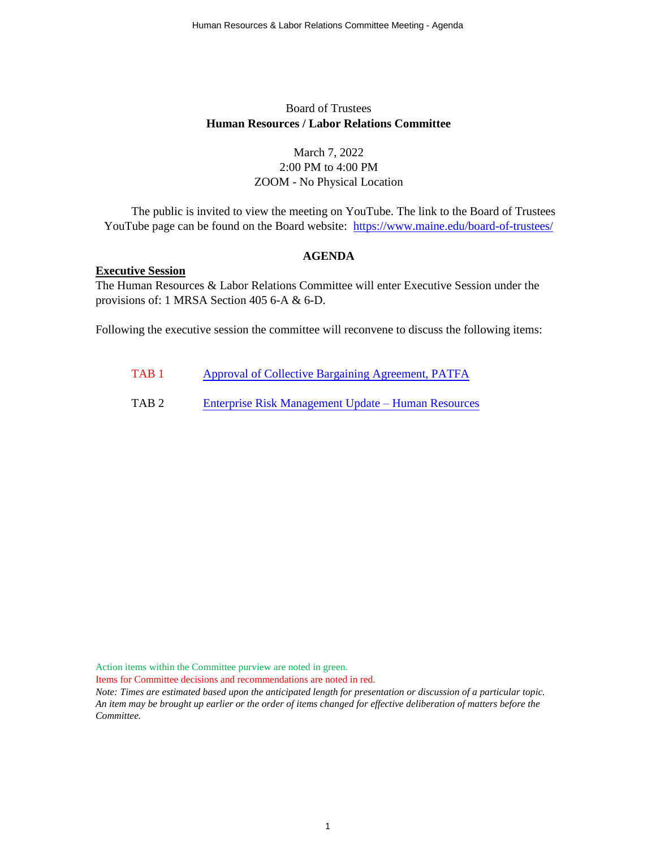#### Board of Trustees **Human Resources / Labor Relations Committee**

#### March 7, 2022 2:00 PM to 4:00 PM ZOOM - No Physical Location

The public is invited to view the meeting on YouTube. The link to the Board of Trustees YouTube page can be found on the Board website: <https://www.maine.edu/board-of-trustees/>

#### **AGENDA**

#### **Executive Session**

The Human Resources & Labor Relations Committee will enter Executive Session under the provisions of: 1 MRSA Section 405 6-A & 6-D.

Following the executive session the committee will reconvene to discuss the following items:

- TAB 1 [Approval of Collective Bargaining Agreement, PATFA](#page-1-0)
- TAB 2 [Enterprise Risk Management Update –](#page-2-0) Human Resources

Action items within the Committee purview are noted in green.

Items for Committee decisions and recommendations are noted in red.

*Note: Times are estimated based upon the anticipated length for presentation or discussion of a particular topic. An item may be brought up earlier or the order of items changed for effective deliberation of matters before the Committee.*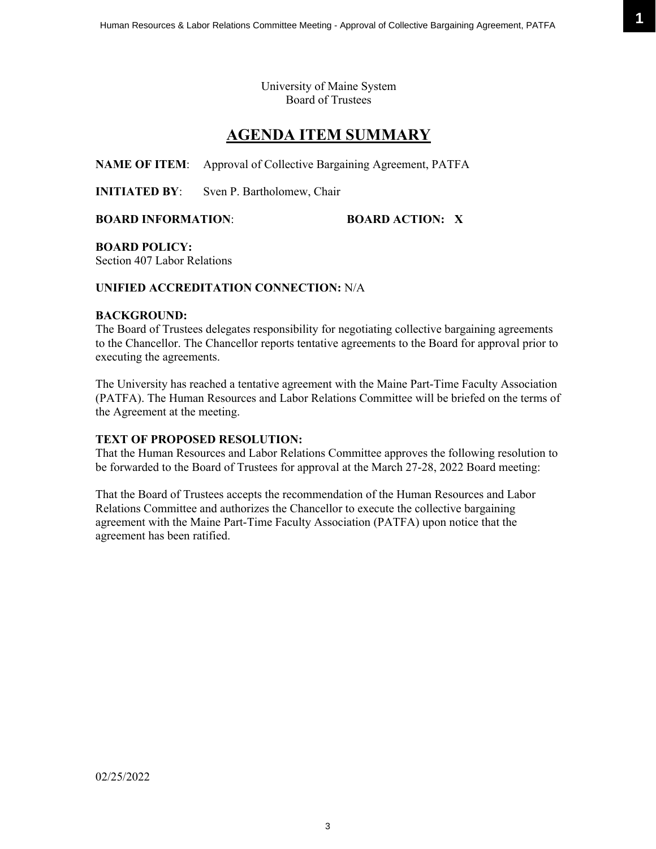University of Maine System Board of Trustees

### **AGENDA ITEM SUMMARY**

<span id="page-1-0"></span>**NAME OF ITEM**: Approval of Collective Bargaining Agreement, PATFA

**INITIATED BY:** Sven P. Bartholomew, Chair

**BOARD INFORMATION**: **BOARD ACTION: X**

**BOARD POLICY:** 

Section 407 Labor Relations

#### **UNIFIED ACCREDITATION CONNECTION:** N/A

#### **BACKGROUND:**

The Board of Trustees delegates responsibility for negotiating collective bargaining agreements to the Chancellor. The Chancellor reports tentative agreements to the Board for approval prior to executing the agreements.

The University has reached a tentative agreement with the Maine Part-Time Faculty Association (PATFA). The Human Resources and Labor Relations Committee will be briefed on the terms of the Agreement at the meeting.

#### **TEXT OF PROPOSED RESOLUTION:**

That the Human Resources and Labor Relations Committee approves the following resolution to be forwarded to the Board of Trustees for approval at the March 27-28, 2022 Board meeting:

That the Board of Trustees accepts the recommendation of the Human Resources and Labor Relations Committee and authorizes the Chancellor to execute the collective bargaining agreement with the Maine Part-Time Faculty Association (PATFA) upon notice that the agreement has been ratified.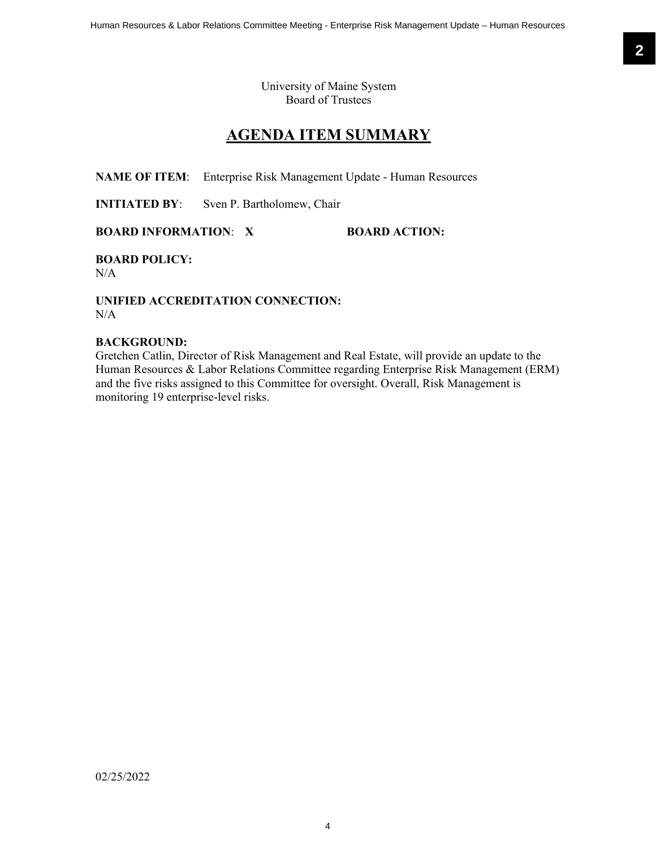University of Maine System Board of Trustees

## **AGENDA ITEM SUMMARY**

<span id="page-2-0"></span>**NAME OF ITEM**: Enterprise Risk Management Update - Human Resources

**INITIATED BY:** Sven P. Bartholomew, Chair

**BOARD INFORMATION: X BOARD ACTION:** 

**BOARD POLICY:** N/A

**UNIFIED ACCREDITATION CONNECTION:**  $N/A$ 

#### **BACKGROUND:**

Gretchen Catlin, Director of Risk Management and Real Estate, will provide an update to the Human Resources & Labor Relations Committee regarding Enterprise Risk Management (ERM) and the five risks assigned to this Committee for oversight. Overall, Risk Management is monitoring 19 enterprise-level risks.

02/25/2022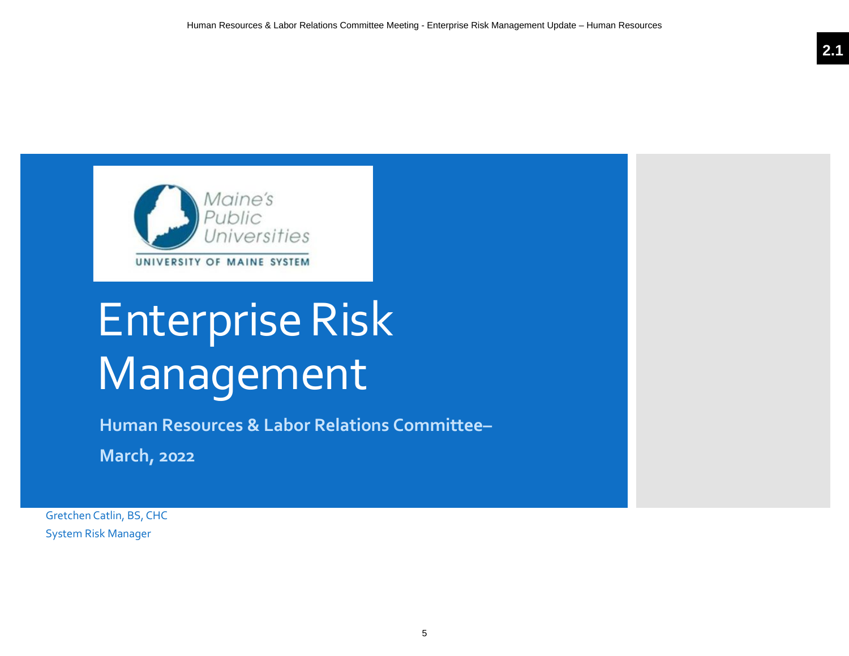

# Enterprise Risk Management

**Human Resources & Labor Relations Committee–**

**March, 2022**

Gretchen Catlin, BS, CHC System Risk Manager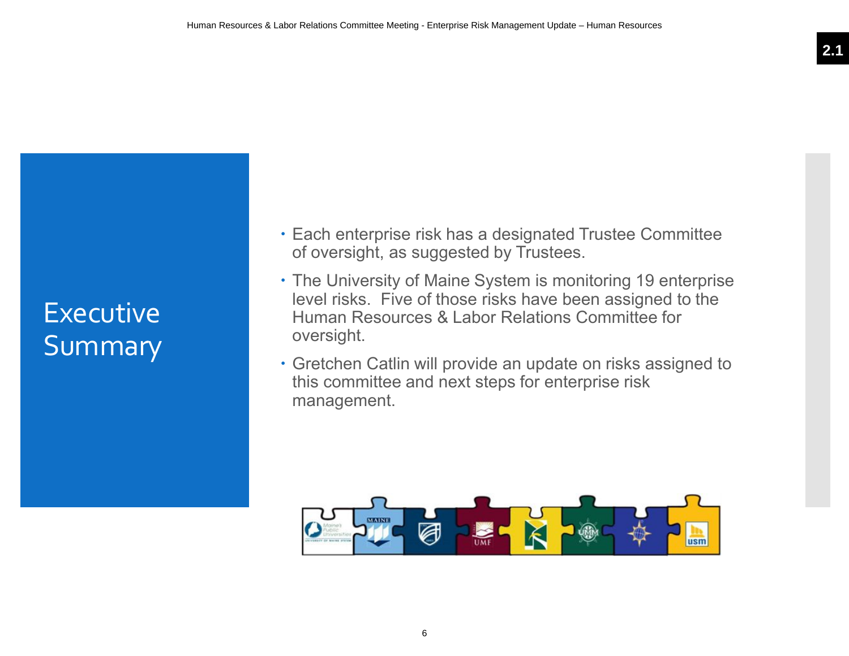# **Executive** Summary

- **Each enterprise risk has a designated Trustee Committee** of oversight, as suggested by Trustees.
- The University of Maine System is monitoring 19 enterprise level risks. Five of those risks have been assigned to the Human Resources & Labor Relations Committee for oversight.
- Gretchen Catlin will provide an update on risks assigned to this committee and next steps for enterprise risk management.

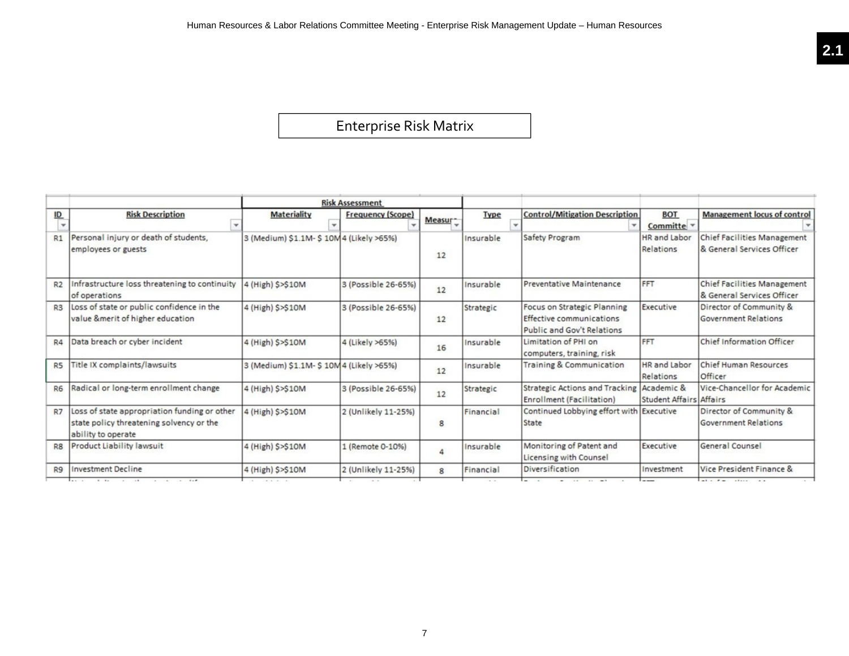# Enterprise Risk Matrix

|                           |                                                                                                                |                                         | <b>Risk Assessment</b>   |         |             |                                                                                              |                                              |                                                                  |
|---------------------------|----------------------------------------------------------------------------------------------------------------|-----------------------------------------|--------------------------|---------|-------------|----------------------------------------------------------------------------------------------|----------------------------------------------|------------------------------------------------------------------|
| $\underline{\mathsf{ID}}$ | <b>Risk Description</b>                                                                                        | <b>Materiality</b>                      | <b>Frequency (Scope)</b> | Measur- | <b>Type</b> | <b>Control/Mitigation Description</b>                                                        | <b>BOT</b><br>Committe v                     | <b>Management locus of control</b>                               |
| R1                        | Personal injury or death of students,<br>employees or guests                                                   | 3 (Medium) \$1.1M- \$10M4 (Likely >65%) |                          | 12      | Insurable   | Safety Program                                                                               | <b>HR</b> and Labor<br>Relations             | <b>Chief Facilities Management</b><br>& General Services Officer |
| R2                        | Infrastructure loss threatening to continuity<br>of operations                                                 | 4 (High) \$>\$10M                       | 3 (Possible 26-65%)      | 12      | Insurable   | Preventative Maintenance                                                                     | FFT                                          | <b>Chief Facilities Management</b><br>& General Services Officer |
| R3                        | Loss of state or public confidence in the<br>value &merit of higher education                                  | 4 (High) S>S10M                         | 3 (Possible 26-65%)      | 12      | Strategic   | Focus on Strategic Planning<br>Effective communications<br><b>Public and Gov't Relations</b> | Executive                                    | Director of Community &<br><b>Government Relations</b>           |
| R4                        | Data breach or cyber incident                                                                                  | 4 (High) \$>\$10M                       | 4 (Likely >65%)          | 16      | Insurable   | Limitation of PHI on<br>computers, training, risk                                            | FFT                                          | Chief Information Officer                                        |
| R <sub>5</sub>            | Title IX complaints/lawsuits                                                                                   | 3 (Medium) \$1.1M- \$10M4 (Likely >65%) |                          | 12      | Insurable   | Training & Communication                                                                     | <b>HR</b> and Labor<br>Relations             | Chief Human Resources<br>Officer                                 |
| <b>R6</b>                 | Radical or long-term enrollment change                                                                         | 4 (High) \$>\$10M                       | 3 (Possible 26-65%)      | 12      | Strategic   | <b>Strategic Actions and Tracking</b><br>Enrollment (Facilitation)                           | Academic &<br><b>Student Affairs Affairs</b> | Vice-Chancellor for Academic                                     |
| R7                        | Loss of state appropriation funding or other<br>state policy threatening solvency or the<br>ability to operate | 4 (High) \$>\$10M                       | 2 (Unlikely 11-25%)      | 8       | Financial   | Continued Lobbying effort with Executive<br>State                                            |                                              | Director of Community &<br><b>Government Relations</b>           |
| R <sub>8</sub>            | Product Liability lawsuit                                                                                      | 4 (High) \$>\$10M                       | 1 (Remote 0-10%)         | 4       | Insurable   | Monitoring of Patent and<br>Licensing with Counsel                                           | Executive                                    | General Counsel                                                  |
| R9                        | <b>Investment Decline</b>                                                                                      | 4 (High) S>S10M                         | 2 (Unlikely 11-25%)      | 8       | Financial   | Diversification                                                                              | Investment                                   | Vice President Finance &                                         |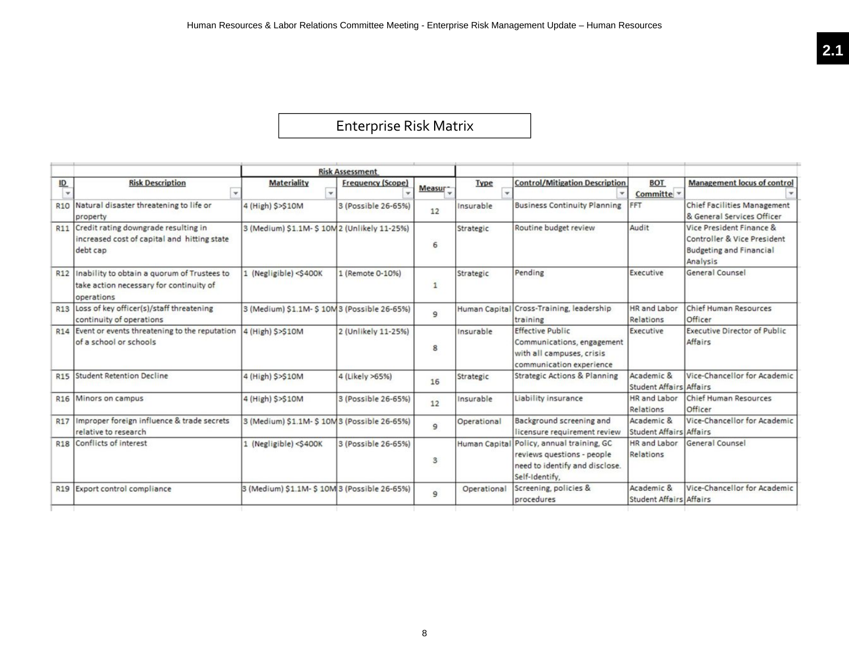# Enterprise Risk Matrix

|                                           |                                                                                                          |                                                                                                                                                                                                                                                                                        | <b>Risk Assessment</b>   |                |                      |                                                                                                                |                                              |                                                                                                       |
|-------------------------------------------|----------------------------------------------------------------------------------------------------------|----------------------------------------------------------------------------------------------------------------------------------------------------------------------------------------------------------------------------------------------------------------------------------------|--------------------------|----------------|----------------------|----------------------------------------------------------------------------------------------------------------|----------------------------------------------|-------------------------------------------------------------------------------------------------------|
| $\underline{\mathsf{ID}}$<br>$\mathbf{v}$ | <b>Risk Description</b>                                                                                  | <b>Materiality</b><br>$\checkmark$                                                                                                                                                                                                                                                     | <b>Frequency (Scope)</b> | Measur-        | <b>Type</b><br>٠     | <b>Control/Mitigation Description</b>                                                                          | <b>BOT</b><br>Committe -                     | <b>Management locus of control</b>                                                                    |
|                                           | R10 Natural disaster threatening to life or<br>property                                                  | 4 (High) \$>\$10M                                                                                                                                                                                                                                                                      | 3 (Possible 26-65%)      | 12             | Insurable            | <b>Business Continuity Planning</b>                                                                            | FFT                                          | <b>Chief Facilities Management</b><br>& General Services Officer                                      |
| R <sub>11</sub>                           | Credit rating downgrade resulting in<br>increased cost of capital and hitting state<br>debt cap          | 3 (Medium) \$1.1M- \$10M2 (Unlikely 11-25%)                                                                                                                                                                                                                                            |                          | 6              | Strategic            | Routine budget review                                                                                          | Audit                                        | Vice President Finance &<br>Controller & Vice President<br><b>Budgeting and Financial</b><br>Analysis |
|                                           | R12 Inability to obtain a quorum of Trustees to<br>take action necessary for continuity of<br>operations | 1 (Negligible) <s400k< td=""><td>1 (Remote 0-10%)</td><td><math display="inline">\mathbf{1}</math></td><td>Strategic</td><td>Pending</td><td>Executive</td><td>General Counsel</td></s400k<>                                                                                           | 1 (Remote 0-10%)         | $\mathbf{1}$   | Strategic            | Pending                                                                                                        | Executive                                    | General Counsel                                                                                       |
|                                           | R13 Loss of key officer(s)/staff threatening<br>continuity of operations                                 | 3 (Medium) \$1.1M- \$10M 3 (Possible 26-65%)                                                                                                                                                                                                                                           |                          | $\overline{9}$ | <b>Human Capital</b> | Cross-Training, leadership<br>training                                                                         | <b>HR</b> and Labor<br>Relations             | <b>Chief Human Resources</b><br>Officer                                                               |
|                                           | R14 Event or events threatening to the reputation<br>of a school or schools                              | 4 (High) S>\$10M                                                                                                                                                                                                                                                                       | 2 (Unlikely 11-25%)      | 8              | Insurable            | <b>Effective Public</b><br>Communications, engagement<br>with all campuses, crisis<br>communication experience | Executive                                    | <b>Executive Director of Public</b><br>Affairs                                                        |
| <b>R15</b>                                | <b>Student Retention Decline</b>                                                                         | 4 (High) \$>\$10M                                                                                                                                                                                                                                                                      | 4 (Likely >65%)          | 16             | Strategic            | <b>Strategic Actions &amp; Planning</b>                                                                        | Academic &<br><b>Student Affairs Affairs</b> | Vice-Chancellor for Academic                                                                          |
| R <sub>16</sub>                           | Minors on campus                                                                                         | 4 (High) \$>\$10M                                                                                                                                                                                                                                                                      | 3 (Possible 26-65%)      | 12             | Insurable            | Liability insurance                                                                                            | <b>HR</b> and Labor<br>Relations             | Chief Human Resources<br>Officer                                                                      |
| <b>R17</b>                                | Improper foreign influence & trade secrets<br>relative to research                                       | 3 (Medium) \$1.1M- \$10M 3 (Possible 26-65%)                                                                                                                                                                                                                                           |                          | $\mathsf{G}$   | Operational          | Background screening and<br>licensure requirement review                                                       | Academic &<br><b>Student Affairs Affairs</b> | Vice-Chancellor for Academic                                                                          |
|                                           | R18 Conflicts of interest                                                                                | 1 (Negligible) <s400k< td=""><td>3 (Possible 26-65%)</td><td>3</td><td>Human Capital</td><td>Policy, annual training, GC<br/>reviews questions - people<br/>need to identify and disclose.<br/>Self-Identify,</td><td>HR and Labor<br/>Relations</td><td>General Counsel</td></s400k<> | 3 (Possible 26-65%)      | 3              | Human Capital        | Policy, annual training, GC<br>reviews questions - people<br>need to identify and disclose.<br>Self-Identify,  | HR and Labor<br>Relations                    | General Counsel                                                                                       |
|                                           | R19 Export control compliance                                                                            | 3 (Medium) \$1.1M- \$10M 3 (Possible 26-65%)                                                                                                                                                                                                                                           |                          | $\mathbf{9}$   | Operational          | Screening, policies &<br>procedures                                                                            | Academic &<br><b>Student Affairs Affairs</b> | Vice-Chancellor for Academic                                                                          |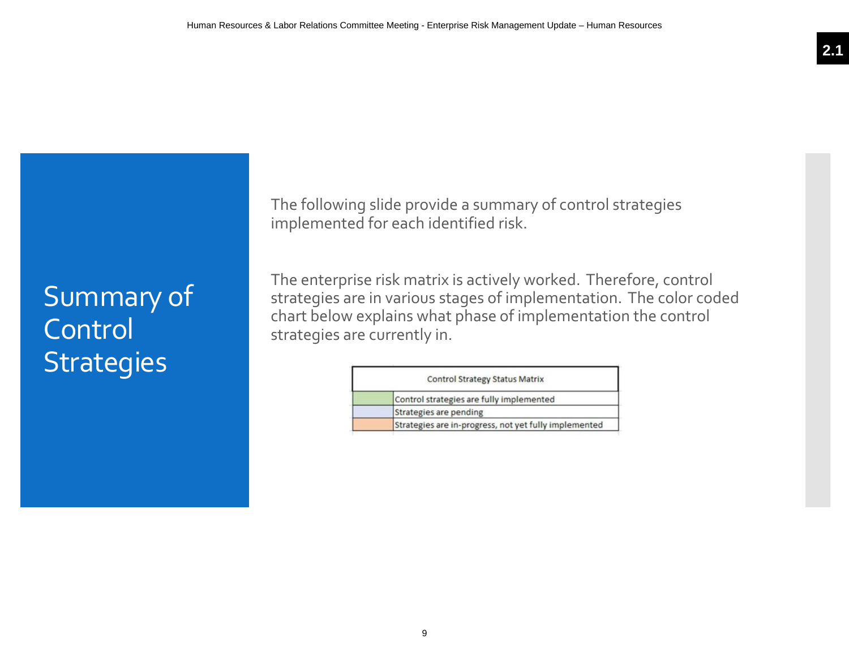# Summary of **Control Strategies**

The following slide provide a summary of control strategies implemented for each identified risk.

The enterprise risk matrix is actively worked. Therefore, control strategies are in various stages of implementation. The color coded chart below explains what phase of implementation the control strategies are currently in.

| <b>Control Strategy Status Matrix</b>                 |  |  |  |  |  |
|-------------------------------------------------------|--|--|--|--|--|
| Control strategies are fully implemented              |  |  |  |  |  |
| Strategies are pending                                |  |  |  |  |  |
| Strategies are in-progress, not yet fully implemented |  |  |  |  |  |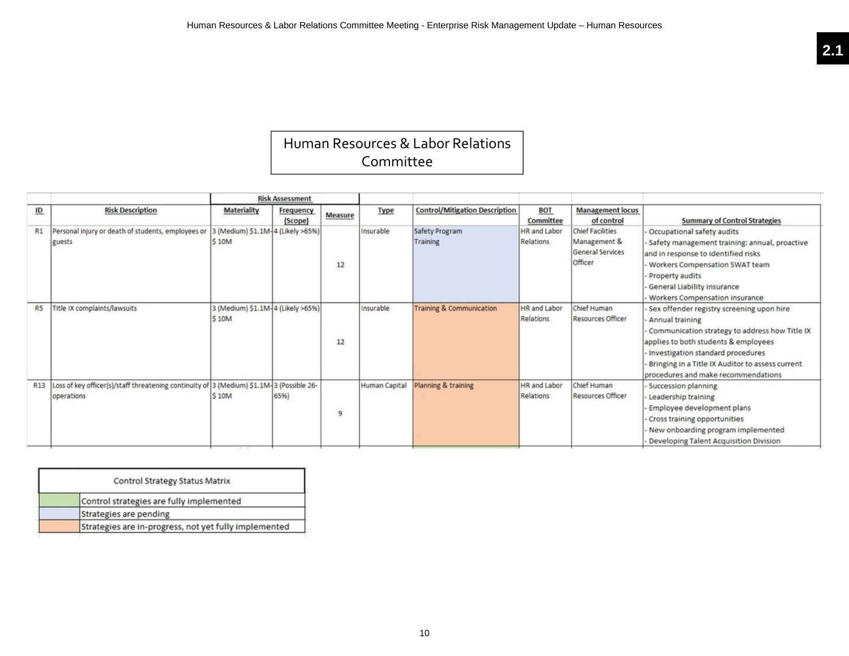### Human Resources & Labor Relations Committee

|                  |                                                                                                        |                                            | <b>Risk Assessment</b> |         |               |                                       |                                  |                                                                               |                                                                                                                                                                                                                                                                                        |
|------------------|--------------------------------------------------------------------------------------------------------|--------------------------------------------|------------------------|---------|---------------|---------------------------------------|----------------------------------|-------------------------------------------------------------------------------|----------------------------------------------------------------------------------------------------------------------------------------------------------------------------------------------------------------------------------------------------------------------------------------|
| $\underline{ID}$ | <b>Risk Description</b>                                                                                | <b>Materiality</b>                         | Frequency<br>(Scope)   | Measure | <b>Type</b>   | <b>Control/Mitigation Description</b> | <b>BOT</b><br>Committee          | <b>Management locus</b><br>of control                                         | <b>Summary of Control Strategies</b>                                                                                                                                                                                                                                                   |
| R1               | Personal injury or death of students, employees or<br>guests                                           | 3 (Medium) \$1.1M-4 (Likely >65%)<br>\$10M |                        | 12      | Insurable     | Safety Program<br>Training            | <b>HR</b> and Labor<br>Relations | <b>Chief Facilities</b><br>Management &<br><b>General Services</b><br>Officer | Occupational safety audits<br>Safety management training: annual, proactive<br>and in response to identified risks<br>Workers Compensation SWAT team<br>Property audits<br>General Liability insurance<br>Workers Compensation insurance                                               |
| R <sub>5</sub>   | Title IX complaints/lawsuits                                                                           | 3 (Medium) \$1.1M-4 (Likely >65%)<br>\$10M |                        | 12      | Insurable     | <b>Training &amp; Communication</b>   | <b>HR</b> and Labor<br>Relations | Chief Human<br><b>Resources Officer</b>                                       | Sex offender registry screening upon hire<br>Annual training<br>Communication strategy to address how Title IX<br>applies to both students & employees<br>Investigation standard procedures<br>Bringing in a Title IX Auditor to assess current<br>procedures and make recommendations |
| R <sub>13</sub>  | Loss of key officer(s)/staff threatening continuity of 3 (Medium) \$1.1M-3 (Possible 26-<br>operations | \$10M                                      | 65%                    | 9       | Human Capital | Planning & training                   | <b>HR</b> and Labor<br>Relations | Chief Human<br><b>Resources Officer</b>                                       | Succession planning<br>Leadership training<br>Employee development plans<br>Cross training opportunities<br>New onboarding program implemented<br>Developing Talent Acquisition Division                                                                                               |

| <b>Control Strategy Status Matrix</b>                 |
|-------------------------------------------------------|
| Control strategies are fully implemented              |
| Strategies are pending                                |
| Strategies are in-progress, not yet fully implemented |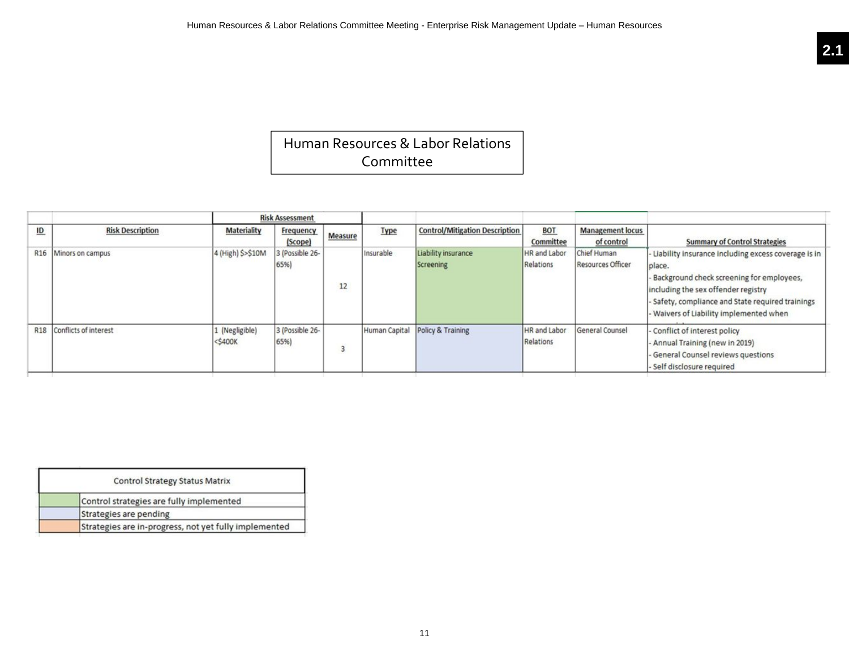### Human Resources & Labor Relations Committee

|                           |                           |                              | <b>Risk Assessment</b>  |         |             |                                       |                                  |                                         |                                                                                                                                                                                                                                                     |
|---------------------------|---------------------------|------------------------------|-------------------------|---------|-------------|---------------------------------------|----------------------------------|-----------------------------------------|-----------------------------------------------------------------------------------------------------------------------------------------------------------------------------------------------------------------------------------------------------|
| $\underline{\mathsf{ID}}$ | <b>Risk Description</b>   | <b>Materiality</b>           | Frequency<br>(Scope)    | Measure | <b>Type</b> | <b>Control/Mitigation Description</b> | <b>BOT</b><br>Committee          | <b>Management locus</b><br>of control   | <b>Summary of Control Strategies</b>                                                                                                                                                                                                                |
|                           | R16 Minors on campus      | 4 (High) \$>\$10M            | 3 (Possible 26-<br>65%  | 12      | Insurable   | Liability insurance<br>Screening      | <b>HR</b> and Labor<br>Relations | Chief Human<br><b>Resources Officer</b> | - Liability insurance including excess coverage is in<br>place.<br>- Background check screening for employees,<br>including the sex offender registry<br>Safety, compliance and State required trainings<br>- Waivers of Liability implemented when |
|                           | R18 Conflicts of interest | 1 (Negligible)<br>$<$ \$400K | 3 (Possible 26-<br>65%) | 3       |             | Human Capital Policy & Training       | HR and Labor<br>Relations        | General Counsel                         | Conflict of interest policy<br>Annual Training (new in 2019)<br>- General Counsel reviews questions<br>Self disclosure required                                                                                                                     |

| <b>Control Strategy Status Matrix</b>                 |  |
|-------------------------------------------------------|--|
| Control strategies are fully implemented              |  |
| Strategies are pending                                |  |
| Strategies are in-progress, not yet fully implemented |  |